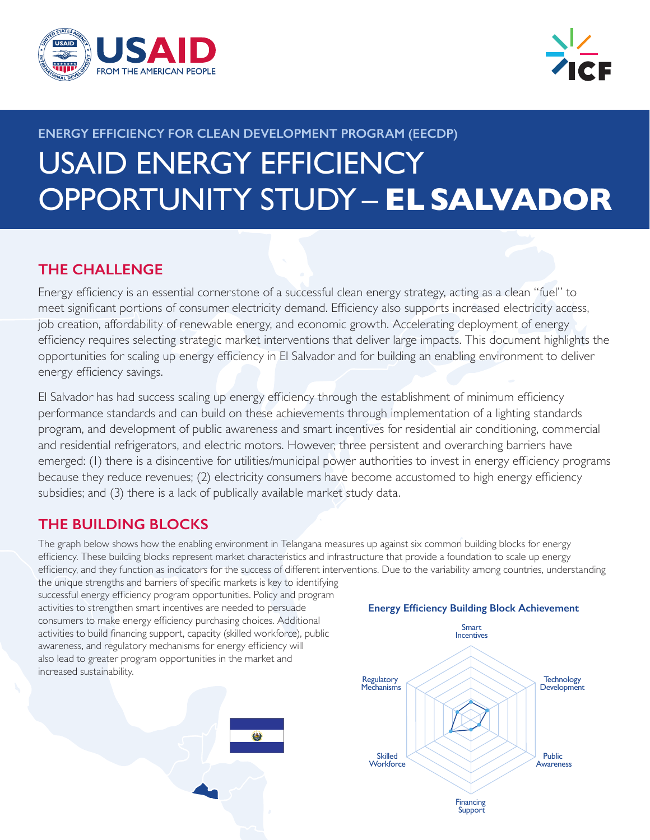



# **ENERGY EFFICIENCY FOR CLEAN DEVELOPMENT PROGRAM (EECDP)** USAID ENERGY EFFICIENCY OPPORTUNITY STUDY – **EL SALVADOR**

# **THE CHALLENGE**

Energy efficiency is an essential cornerstone of a successful clean energy strategy, acting as a clean "fuel" to meet significant portions of consumer electricity demand. Efficiency also supports increased electricity access, job creation, affordability of renewable energy, and economic growth. Accelerating deployment of energy efficiency requires selecting strategic market interventions that deliver large impacts. This document highlights the opportunities for scaling up energy efficiency in El Salvador and for building an enabling environment to deliver energy efficiency savings.

El Salvador has had success scaling up energy efficiency through the establishment of minimum efficiency performance standards and can build on these achievements through implementation of a lighting standards program, and development of public awareness and smart incentives for residential air conditioning, commercial and residential refrigerators, and electric motors. However, three persistent and overarching barriers have emerged: (1) there is a disincentive for utilities/municipal power authorities to invest in energy efficiency programs because they reduce revenues; (2) electricity consumers have become accustomed to high energy efficiency subsidies; and (3) there is a lack of publically available market study data.

# **THE BUILDING BLOCKS**

The graph below shows how the enabling environment in Telangana measures up against six common building blocks for energy efficiency. These building blocks represent market characteristics and infrastructure that provide a foundation to scale up energy efficiency, and they function as indicators for the success of different interventions. Due to the variability among countries, understanding

the unique strengths and barriers of specific markets is key to identifying successful energy efficiency program opportunities. Policy and program activities to strengthen smart incentives are needed to persuade consumers to make energy efficiency purchasing choices. Additional activities to build financing support, capacity (skilled workforce), public awareness, and regulatory mechanisms for energy efficiency will also lead to greater program opportunities in the market and increased sustainability.



## **Energy Efficiency Building Block Achievement**